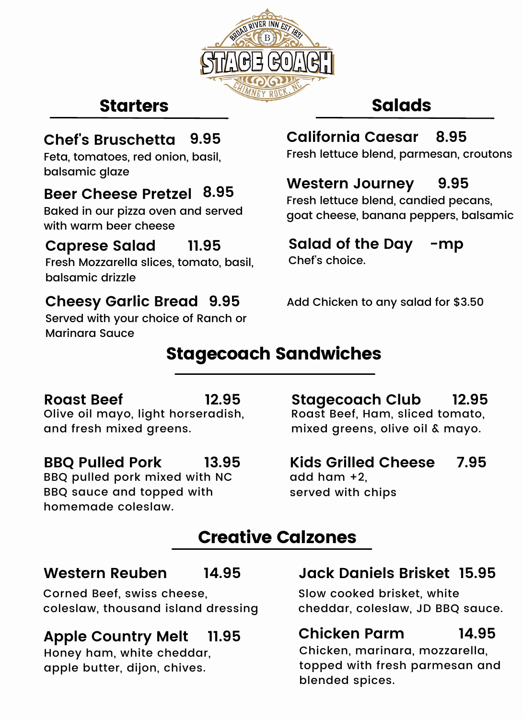

## **Starters**

### **Chef's Bruschetta**

Feta, tomatoes, red onion, basil, balsamic glaze

## **Beer Cheese Pretzel 8.95**

Baked in our pizza oven and served with warm beer cheese

#### **Caprese Salad 11.95**

Fresh Mozzarella slices, tomato, basil, balsamic drizzle

### **Cheesy Garlic Bread 9.95**

Served with your choice of Ranch or Marinara Sauce

# Salads

# **California Caesar 9.95 8.95**

Fresh lettuce blend, parmesan, croutons

### **Western Journey 9.95**

Fresh lettuce blend, candied pecans, goat cheese, banana peppers, balsamic

### **Salad of the Day -mp**

Chef's choice.

Add Chicken to any salad for \$3.50

# Stagecoach Sandwiches

### **Roast Beef** Olive oil mayo, light horseradish, and fresh mixed greens. **12.95**

#### **BBQ Pulled Pork 13.95**

BBQ pulled pork mixed with NC BBQ sauce and topped with homemade coleslaw.

**Stagecoach Club** Roast Beef, Ham, sliced tomato, mixed greens, olive oil & mayo. **12.95**

**Kids Grilled Cheese** add ham +2, served with chips **7.95**

# Creative Calzones

#### **Western Reuben 14.95**

Corned Beef, swiss cheese, coleslaw, thousand island dressing

### **Apple Country Melt 11.95**

Honey ham, white cheddar, apple butter, dijon, chives.

### **Jack Daniels Brisket 15.95**

Slow cooked brisket, white cheddar, coleslaw, JD BBQ sauce.

### **Chicken Parm 14.95**

Chicken, marinara, mozzarella, topped with fresh parmesan and blended spices.